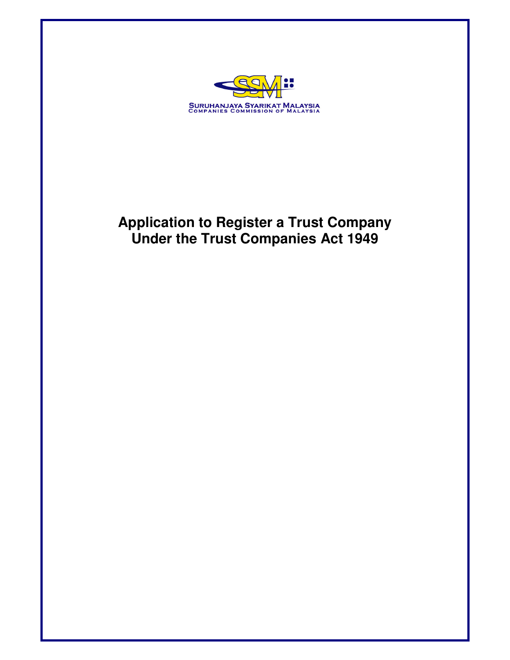

# **Application to Register a Trust Company Under the Trust Companies Act 1949**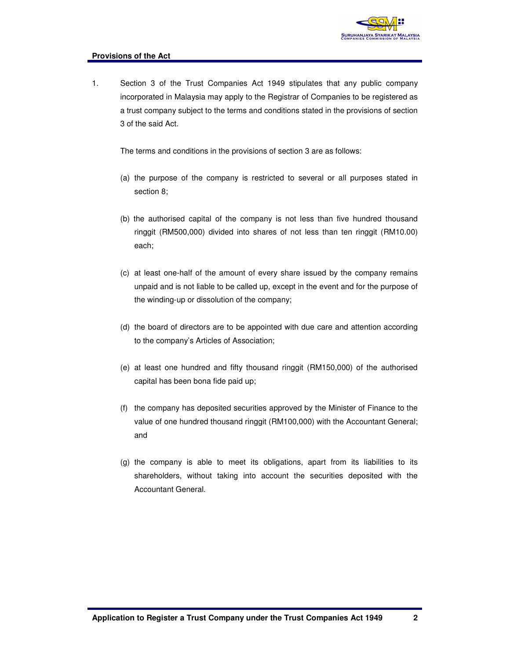

#### **Provisions of the Act**

1. Section 3 of the Trust Companies Act 1949 stipulates that any public company incorporated in Malaysia may apply to the Registrar of Companies to be registered as a trust company subject to the terms and conditions stated in the provisions of section 3 of the said Act.

The terms and conditions in the provisions of section 3 are as follows:

- (a) the purpose of the company is restricted to several or all purposes stated in section 8;
- (b) the authorised capital of the company is not less than five hundred thousand ringgit (RM500,000) divided into shares of not less than ten ringgit (RM10.00) each;
- (c) at least one-half of the amount of every share issued by the company remains unpaid and is not liable to be called up, except in the event and for the purpose of the winding-up or dissolution of the company;
- (d) the board of directors are to be appointed with due care and attention according to the company's Articles of Association;
- (e) at least one hundred and fifty thousand ringgit (RM150,000) of the authorised capital has been bona fide paid up;
- (f) the company has deposited securities approved by the Minister of Finance to the value of one hundred thousand ringgit (RM100,000) with the Accountant General; and
- (g) the company is able to meet its obligations, apart from its liabilities to its shareholders, without taking into account the securities deposited with the Accountant General.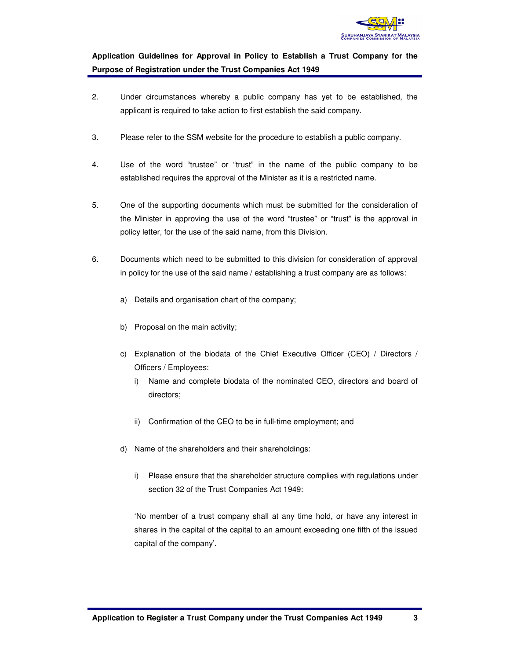

# **Application Guidelines for Approval in Policy to Establish a Trust Company for the Purpose of Registration under the Trust Companies Act 1949**

- 2. Under circumstances whereby a public company has yet to be established, the applicant is required to take action to first establish the said company.
- 3. Please refer to the SSM website for the procedure to establish a public company.
- 4. Use of the word "trustee" or "trust" in the name of the public company to be established requires the approval of the Minister as it is a restricted name.
- 5. One of the supporting documents which must be submitted for the consideration of the Minister in approving the use of the word "trustee" or "trust" is the approval in policy letter, for the use of the said name, from this Division.
- 6. Documents which need to be submitted to this division for consideration of approval in policy for the use of the said name / establishing a trust company are as follows:
	- a) Details and organisation chart of the company;
	- b) Proposal on the main activity;
	- c) Explanation of the biodata of the Chief Executive Officer (CEO) / Directors / Officers / Employees:
		- i) Name and complete biodata of the nominated CEO, directors and board of directors;
		- ii) Confirmation of the CEO to be in full-time employment; and
	- d) Name of the shareholders and their shareholdings:
		- i) Please ensure that the shareholder structure complies with regulations under section 32 of the Trust Companies Act 1949:

'No member of a trust company shall at any time hold, or have any interest in shares in the capital of the capital to an amount exceeding one fifth of the issued capital of the company'.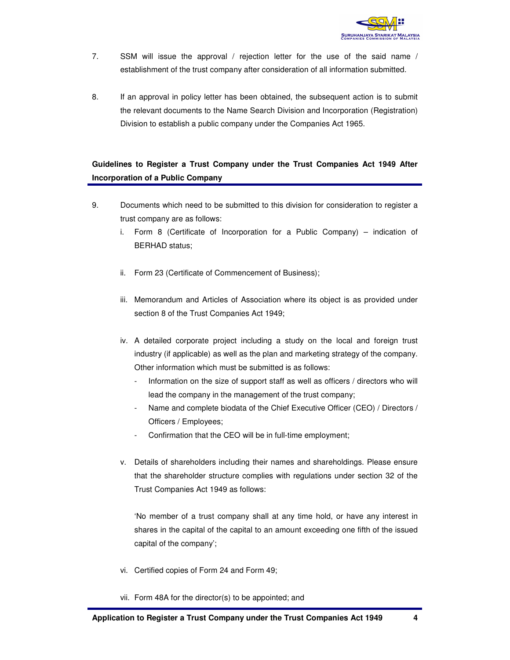

- 7. SSM will issue the approval / rejection letter for the use of the said name / establishment of the trust company after consideration of all information submitted.
- 8. If an approval in policy letter has been obtained, the subsequent action is to submit the relevant documents to the Name Search Division and Incorporation (Registration) Division to establish a public company under the Companies Act 1965.

# **Guidelines to Register a Trust Company under the Trust Companies Act 1949 After Incorporation of a Public Company**

- 9. Documents which need to be submitted to this division for consideration to register a trust company are as follows:
	- i. Form 8 (Certificate of Incorporation for a Public Company) indication of BERHAD status;
	- ii. Form 23 (Certificate of Commencement of Business);
	- iii. Memorandum and Articles of Association where its object is as provided under section 8 of the Trust Companies Act 1949;
	- iv. A detailed corporate project including a study on the local and foreign trust industry (if applicable) as well as the plan and marketing strategy of the company. Other information which must be submitted is as follows:
		- Information on the size of support staff as well as officers / directors who will lead the company in the management of the trust company;
		- Name and complete biodata of the Chief Executive Officer (CEO) / Directors / Officers / Employees;
		- Confirmation that the CEO will be in full-time employment;
	- v. Details of shareholders including their names and shareholdings. Please ensure that the shareholder structure complies with regulations under section 32 of the Trust Companies Act 1949 as follows:

'No member of a trust company shall at any time hold, or have any interest in shares in the capital of the capital to an amount exceeding one fifth of the issued capital of the company';

- vi. Certified copies of Form 24 and Form 49;
- vii. Form 48A for the director(s) to be appointed; and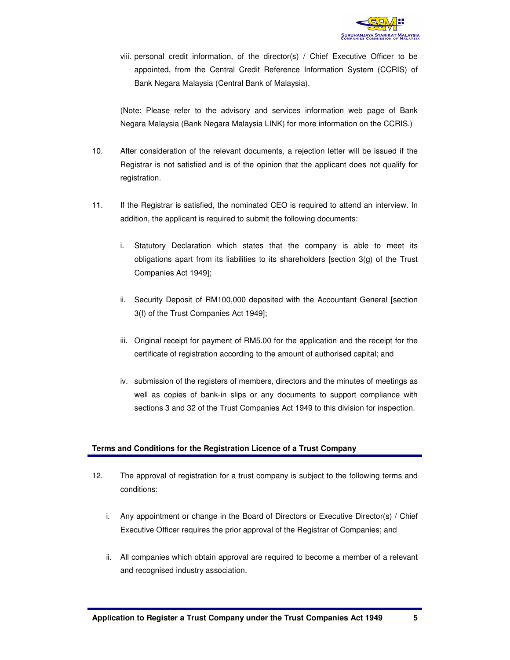

viii. personal credit information, of the director(s) / Chief Executive Officer to be appointed, from the Central Credit Reference Information System (CCRIS) of Bank Negara Malaysia (Central Bank of Malaysia).

(Note: Please refer to the advisory and services information web page of Bank Negara Malaysia (Bank Negara Malaysia LINK) for more information on the CCRIS.)

- 10. After consideration of the relevant documents, a rejection letter will be issued if the Registrar is not satisfied and is of the opinion that the applicant does not qualify for registration.
- 11. If the Registrar is satisfied, the nominated CEO is required to attend an interview. In addition, the applicant is required to submit the following documents:
	- i. Statutory Declaration which states that the company is able to meet its obligations apart from its liabilities to its shareholders [section 3(g) of the Trust Companies Act 1949];
	- ii. Security Deposit of RM100,000 deposited with the Accountant General [section 3(f) of the Trust Companies Act 1949];
	- iii. Original receipt for payment of RM5.00 for the application and the receipt for the certificate of registration according to the amount of authorised capital; and
	- iv. submission of the registers of members, directors and the minutes of meetings as well as copies of bank-in slips or any documents to support compliance with sections 3 and 32 of the Trust Companies Act 1949 to this division for inspection.

#### **Terms and Conditions for the Registration Licence of a Trust Company**

- 12. The approval of registration for a trust company is subject to the following terms and conditions:
	- i. Any appointment or change in the Board of Directors or Executive Director(s) / Chief Executive Officer requires the prior approval of the Registrar of Companies; and
	- ii. All companies which obtain approval are required to become a member of a relevant and recognised industry association.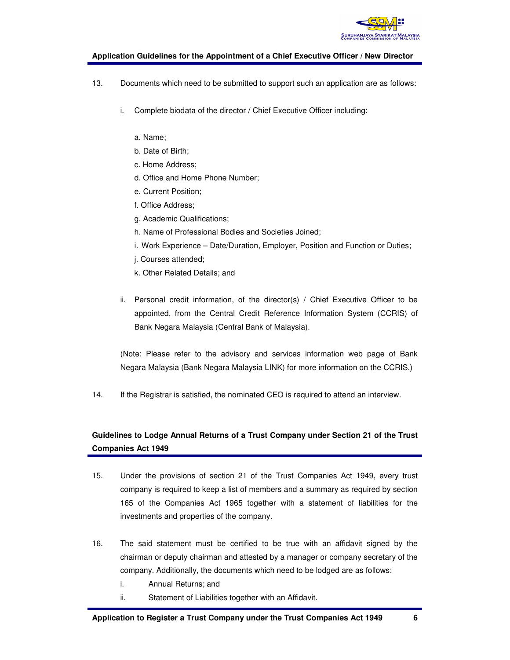

#### **Application Guidelines for the Appointment of a Chief Executive Officer / New Director**

- 13. Documents which need to be submitted to support such an application are as follows:
	- i. Complete biodata of the director / Chief Executive Officer including:
		- a. Name;
		- b. Date of Birth;
		- c. Home Address;
		- d. Office and Home Phone Number;
		- e. Current Position;
		- f. Office Address;
		- g. Academic Qualifications;
		- h. Name of Professional Bodies and Societies Joined;
		- i. Work Experience Date/Duration, Employer, Position and Function or Duties;
		- j. Courses attended;
		- k. Other Related Details; and
	- ii. Personal credit information, of the director(s) / Chief Executive Officer to be appointed, from the Central Credit Reference Information System (CCRIS) of Bank Negara Malaysia (Central Bank of Malaysia).

(Note: Please refer to the advisory and services information web page of Bank Negara Malaysia (Bank Negara Malaysia LINK) for more information on the CCRIS.)

14. If the Registrar is satisfied, the nominated CEO is required to attend an interview.

## **Guidelines to Lodge Annual Returns of a Trust Company under Section 21 of the Trust Companies Act 1949**

- 15. Under the provisions of section 21 of the Trust Companies Act 1949, every trust company is required to keep a list of members and a summary as required by section 165 of the Companies Act 1965 together with a statement of liabilities for the investments and properties of the company.
- 16. The said statement must be certified to be true with an affidavit signed by the chairman or deputy chairman and attested by a manager or company secretary of the company. Additionally, the documents which need to be lodged are as follows:
	- i. Annual Returns; and
	- ii. Statement of Liabilities together with an Affidavit.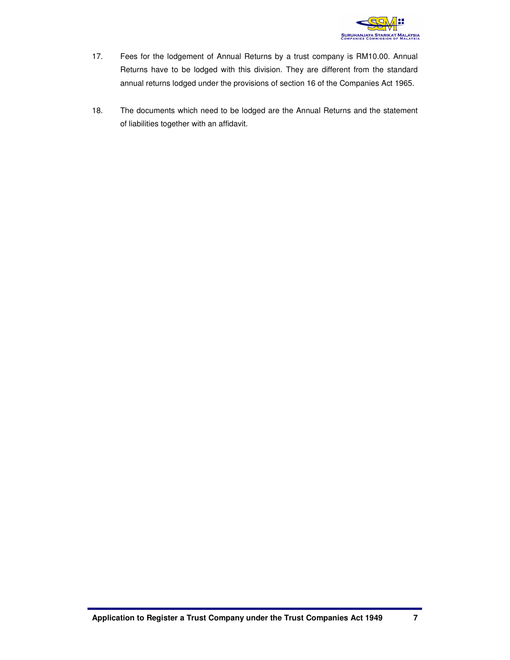

- 17. Fees for the lodgement of Annual Returns by a trust company is RM10.00. Annual Returns have to be lodged with this division. They are different from the standard annual returns lodged under the provisions of section 16 of the Companies Act 1965.
- 18. The documents which need to be lodged are the Annual Returns and the statement of liabilities together with an affidavit.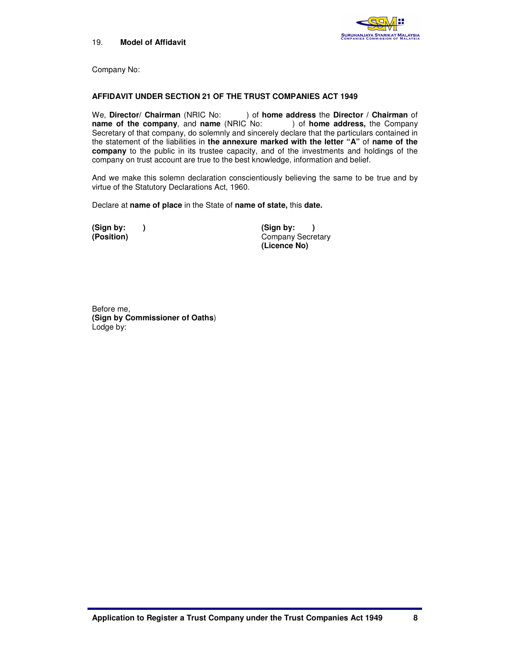



Company No:

#### **AFFIDAVIT UNDER SECTION 21 OF THE TRUST COMPANIES ACT 1949**

We, **Director/ Chairman** (NRIC No: ) of **home address** the **Director / Chairman** of **name of the company**, and **name** (NRIC No: ) of **home address,** the Company Secretary of that company, do solemnly and sincerely declare that the particulars contained in the statement of the liabilities in **the annexure marked with the letter "A"** of **name of the company** to the public in its trustee capacity, and of the investments and holdings of the company on trust account are true to the best knowledge, information and belief.

And we make this solemn declaration conscientiously believing the same to be true and by virtue of the Statutory Declarations Act, 1960.

Declare at **name of place** in the State of **name of state,** this **date.**

**(Sign by: ) (Sign by: ) Company Secretary (Licence No)**

Before me, **(Sign by Commissioner of Oaths**) Lodge by: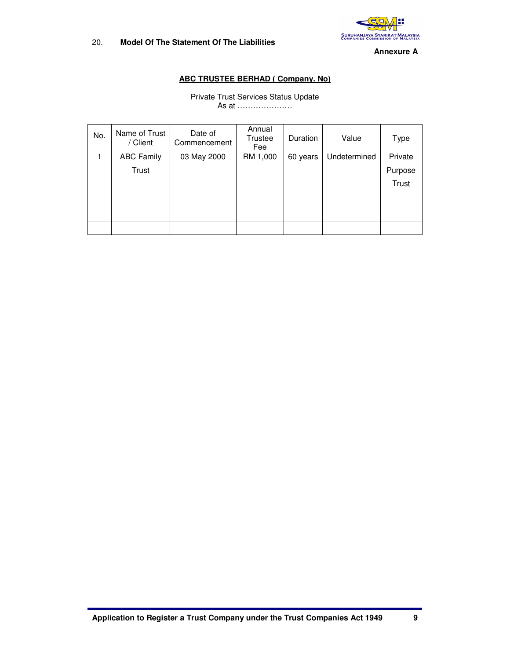

**Annexure A** 

### **ABC TRUSTEE BERHAD ( Company. No)**

#### Private Trust Services Status Update As at …………………

| No. | Name of Trust<br>/ Client | Date of<br>Commencement | Annual<br><b>Trustee</b><br>Fee | Duration | Value        | Type    |
|-----|---------------------------|-------------------------|---------------------------------|----------|--------------|---------|
|     | <b>ABC Family</b>         | 03 May 2000             | RM 1,000                        | 60 years | Undetermined | Private |
|     | Trust                     |                         |                                 |          |              | Purpose |
|     |                           |                         |                                 |          |              | Trust   |
|     |                           |                         |                                 |          |              |         |
|     |                           |                         |                                 |          |              |         |
|     |                           |                         |                                 |          |              |         |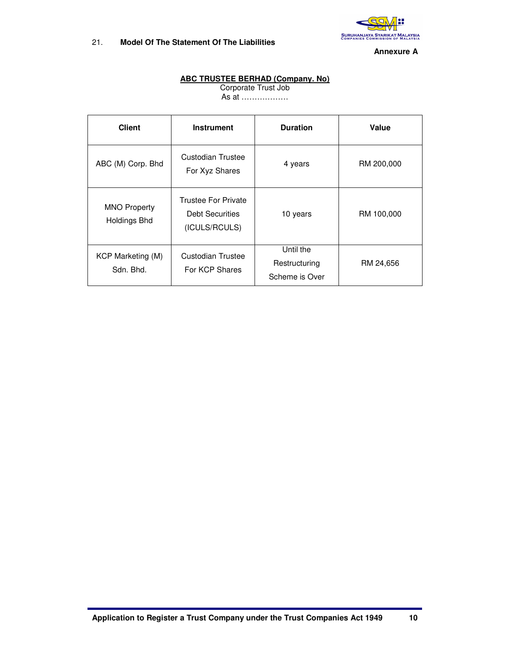

#### **Annexure A**

#### **ABC TRUSTEE BERHAD (Company. No)**

Corporate Trust Job As at ………………

| <b>Client</b>                              | <b>Instrument</b>                                                     | <b>Duration</b>                              | Value      |
|--------------------------------------------|-----------------------------------------------------------------------|----------------------------------------------|------------|
| ABC (M) Corp. Bhd                          | Custodian Trustee<br>For Xyz Shares                                   | 4 years                                      | RM 200,000 |
| <b>MNO Property</b><br><b>Holdings Bhd</b> | <b>Trustee For Private</b><br><b>Debt Securities</b><br>(ICULS/RCULS) | 10 years                                     | RM 100,000 |
| KCP Marketing (M)<br>Sdn. Bhd.             | Custodian Trustee<br>For KCP Shares                                   | Until the<br>Restructuring<br>Scheme is Over | RM 24,656  |